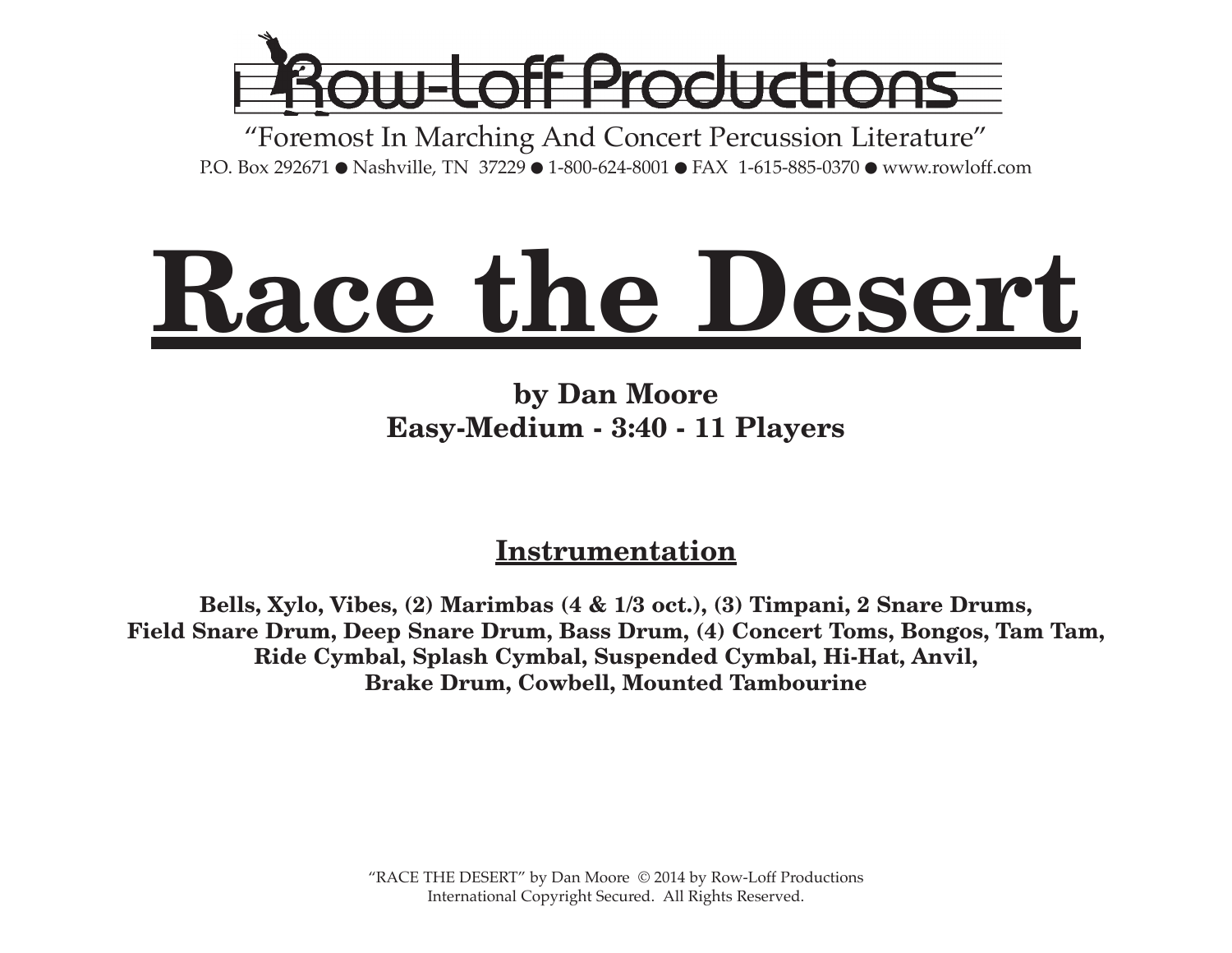

"Foremost In Marching And Concert Percussion Literature" P.O. Box 292671 ● Nashville, TN 37229 ● 1-800-624-8001 ● FAX 1-615-885-0370 ● www.rowloff.com

# **Race the Desert**

## **by Dan Moore Easy-Medium - 3:40 - 11 Players**

### **Instrumentation**

**Bells, Xylo, Vibes, (2) Marimbas (4 & 1/3 oct.), (3) Timpani, 2 Snare Drums, Field Snare Drum, Deep Snare Drum, Bass Drum, (4) Concert Toms, Bongos, Tam Tam, Ride Cymbal, Splash Cymbal, Suspended Cymbal, Hi-Hat, Anvil, Brake Drum, Cowbell, Mounted Tambourine**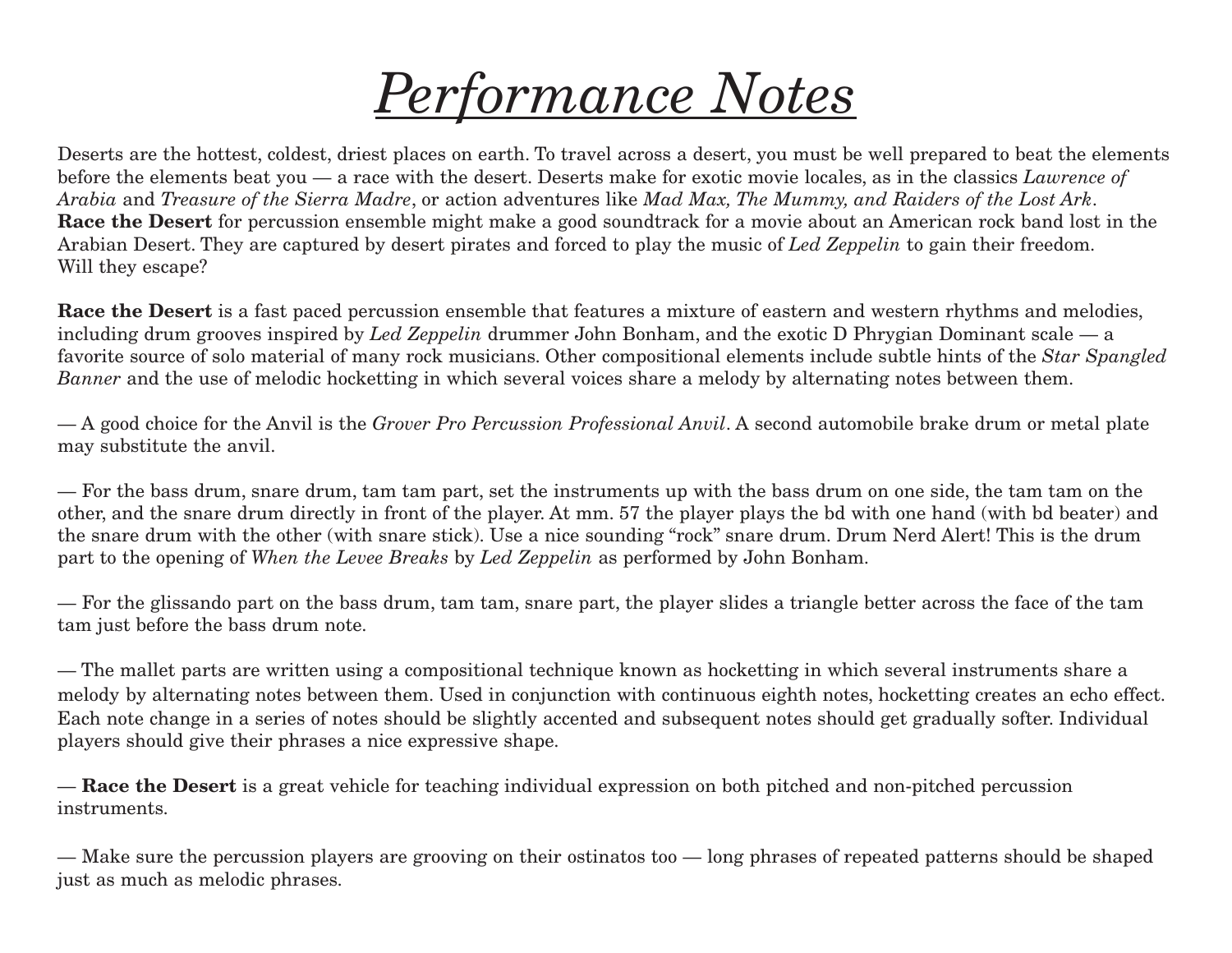## *Performance Notes*

Deserts are the hottest, coldest, driest places on earth. To travel across a desert, you must be well prepared to beat the elements before the elements beat you — a race with the desert. Deserts make for exotic movie locales, as in the classics *Lawrence of* Arabia and Treasure of the Sierra Madre, or action adventures like Mad Max, The Mummy, and Raiders of the Lost Ark. **Race the Desert** for percussion ensemble might make a good soundtrack for a movie about an American rock band lost in the Arabian Desert. They are captured by desert pirates and forced to play the music of *Led Zeppelin* to gain their freedom. Will they escape?

**Race the Desert** is a fast paced percussion ensemble that features a mixture of eastern and western rhythms and melodies, including drum grooves inspired by *Led Zeppelin* drummer John Bonham, and the exotic D Phrygian Dominant scale — a favorite source of solo material of many rock musicians. Other compositional elements include subtle hints of the *Star Spangled Banner* and the use of melodic hocketting in which several voices share a melody by alternating notes between them.

— A good choice for the Anvil is the *Grover Pro Percussion Professional Anvil*. A second automobile brake drum or metal plate may substitute the anvil.

— For the bass drum, snare drum, tam tam part, set the instruments up with the bass drum on one side, the tam tam on the other, and the snare drum directly in front of the player. At mm. 57 the player plays the bd with one hand (with bd beater) and the snare drum with the other (with snare stick). Use a nice sounding "rock" snare drum. Drum Nerd Alert! This is the drum part to the opening of *When the Levee Breaks* by *Led Zeppelin* as performed by John Bonham.

— For the glissando part on the bass drum, tam tam, snare part, the player slides a triangle better across the face of the tam tam just before the bass drum note.

— The mallet parts are written using a compositional technique known as hocketting in which several instruments share a melody by alternating notes between them. Used in conjunction with continuous eighth notes, hocketting creates an echo effect. Each note change in a series of notes should be slightly accented and subsequent notes should get gradually softer. Individual players should give their phrases a nice expressive shape.

— **Race the Desert** is a great vehicle for teaching individual expression on both pitched and non-pitched percussion instruments.

— Make sure the percussion players are grooving on their ostinatos too — long phrases of repeated patterns should be shaped just as much as melodic phrases.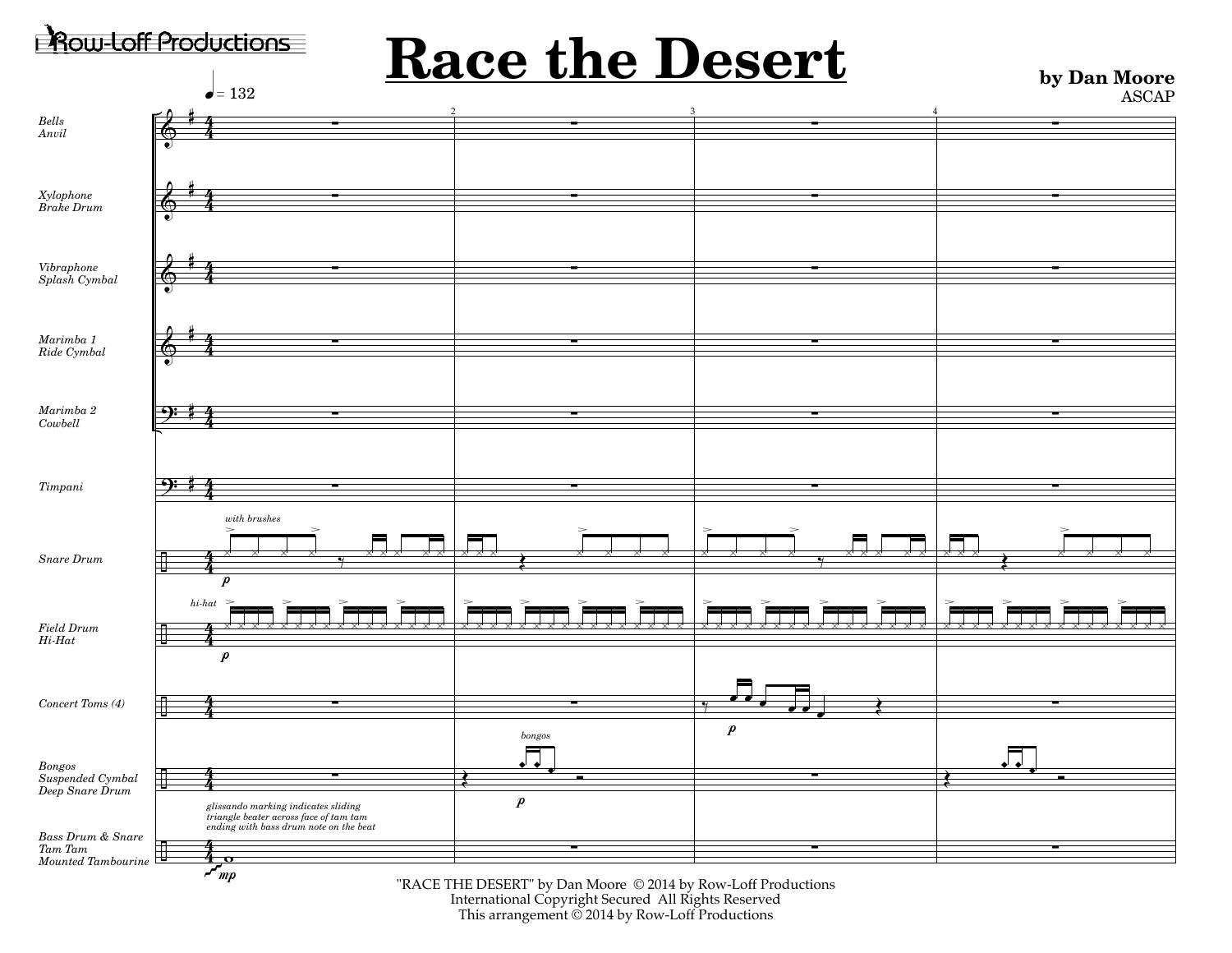

This arrangement © 2014 by Row-Loff Productions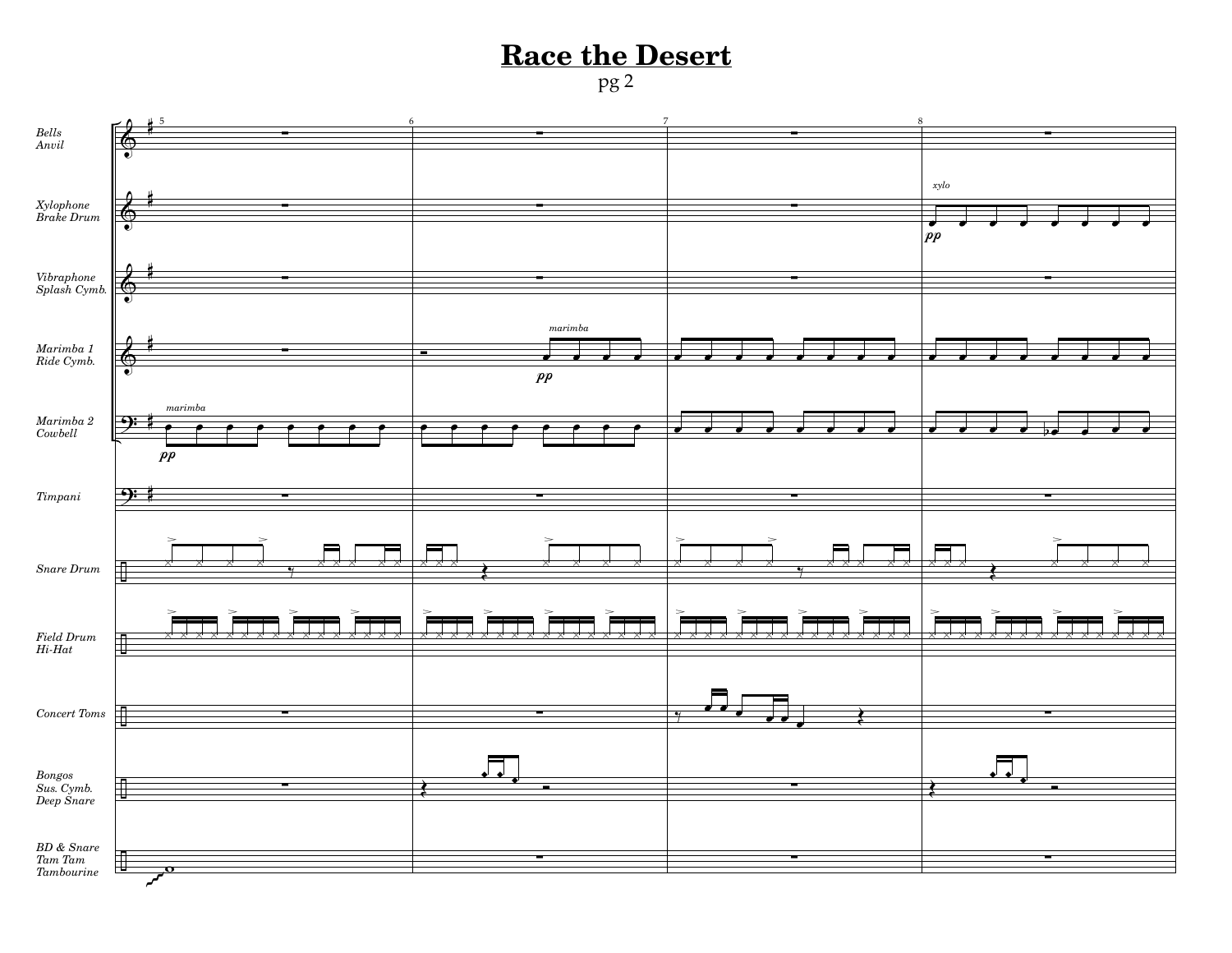pg 2



 $Tambourine$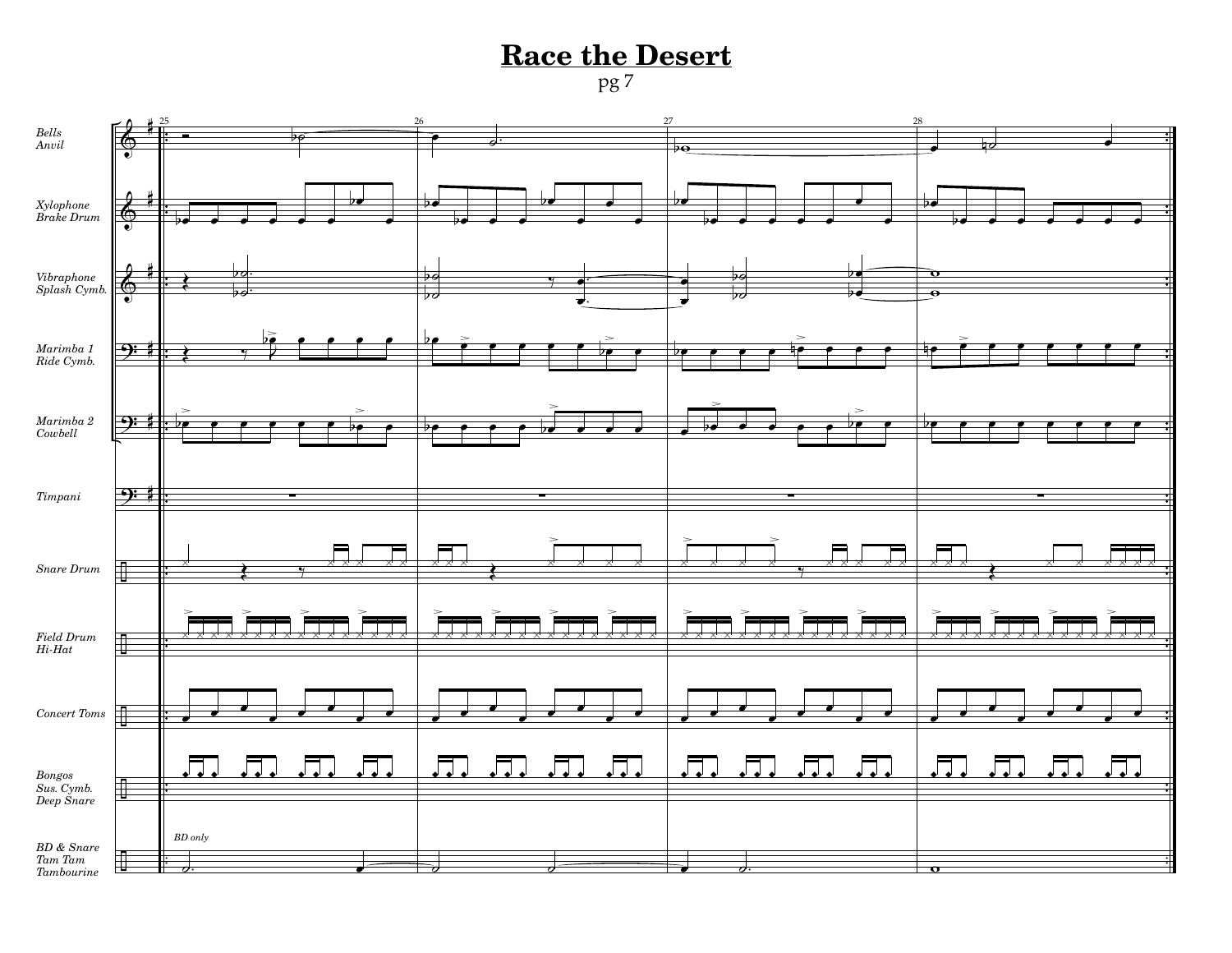pg 7